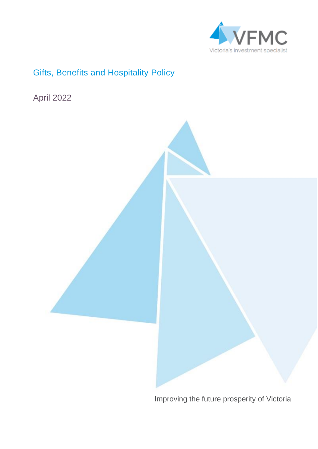

## <span id="page-0-0"></span>Gifts, Benefits and Hospitality Policy

April 2022



Improving the future prosperity of Victoria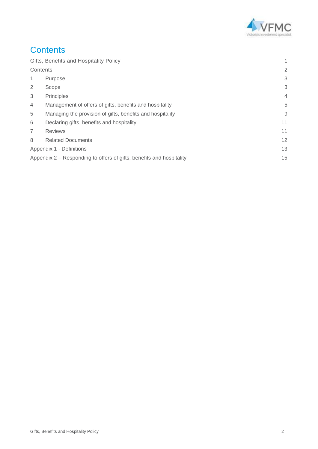

## <span id="page-1-0"></span>**Contents**

|                          | Gifts, Benefits and Hospitality Policy                               | 1              |
|--------------------------|----------------------------------------------------------------------|----------------|
| Contents                 |                                                                      | $\overline{2}$ |
| 1                        | Purpose                                                              | 3              |
| 2                        | Scope                                                                | 3              |
| 3                        | Principles                                                           | $\overline{4}$ |
| $\overline{4}$           | Management of offers of gifts, benefits and hospitality              | 5              |
| 5                        | Managing the provision of gifts, benefits and hospitality            | 9              |
| 6                        | Declaring gifts, benefits and hospitality                            | 11             |
| $\overline{7}$           | <b>Reviews</b>                                                       | 11             |
| 8                        | <b>Related Documents</b>                                             | 12             |
| Appendix 1 - Definitions |                                                                      | 13             |
|                          | Appendix 2 – Responding to offers of gifts, benefits and hospitality | 15             |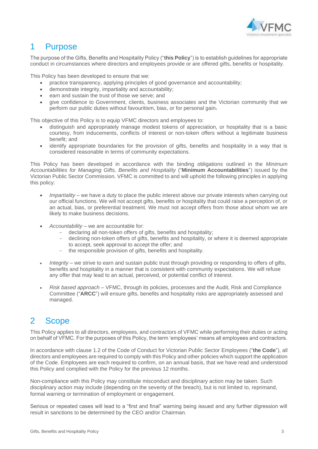

## <span id="page-2-0"></span>1 Purpose

The purpose of the Gifts, Benefits and Hospitality Policy ("**this Policy**") is to establish guidelines for appropriate conduct in circumstances where directors and employees provide or are offered gifts, benefits or hospitality.

This Policy has been developed to ensure that we:

- practice transparency, applying principles of good governance and accountability;
- demonstrate integrity, impartiality and accountability;
- earn and sustain the trust of those we serve; and
- give confidence to Government, clients, business associates and the Victorian community that we perform our public duties without favouritism, bias, or for personal gain-

This objective of this Policy is to equip VFMC directors and employees to:

- distinguish and appropriately manage modest tokens of appreciation, or hospitality that is a basic courtesy, from inducements, conflicts of interest or non-token offers without a legitimate business benefit; and
- identify appropriate boundaries for the provision of gifts, benefits and hospitality in a way that is considered reasonable in terms of community expectations.

This Policy has been developed in accordance with the binding obligations outlined in the *Minimum Accountabilities for Managing Gifts, Benefits and Hospitality* ("**Minimum Accountabilities**") issued by the Victorian Public Sector Commission. VFMC is committed to and will uphold the following principles in applying this policy:

- *Impartiality* we have a duty to place the public interest above our private interests when carrying out our official functions. We will not accept gifts, benefits or hospitality that could raise a perception of, or an actual, bias, or preferential treatment. We must not accept offers from those about whom we are likely to make business decisions.
- *Accountability* we are accountable for:
	- declaring all non-token offers of gifts, benefits and hospitality;
	- declining non-token offers of gifts, benefits and hospitality, or where it is deemed appropriate to accept, seek approval to accept the offer; and
	- the responsible provision of gifts, benefits and hospitality.
- *Integrity* we strive to earn and sustain public trust through providing or responding to offers of gifts, benefits and hospitality in a manner that is consistent with community expectations. We will refuse any offer that may lead to an actual, perceived, or potential conflict of interest.
- *Risk based approach* VFMC, through its policies, processes and the Audit, Risk and Compliance Committee ("**ARCC**") will ensure gifts, benefits and hospitality risks are appropriately assessed and managed.

## <span id="page-2-1"></span>2 Scope

This Policy applies to all directors, employees, and contractors of VFMC while performing their duties or acting on behalf of VFMC. For the purposes of this Policy, the term 'employees' means all employees and contractors.

In accordance with clause 1.2 of the Code of Conduct for Victorian Public Sector Employees ("**the Code**"), all directors and employees are required to comply with this Policy and other policies which support the application of the Code. Employees are each required to confirm, on an annual basis, that we have read and understood this Policy and complied with the Policy for the previous 12 months.

Non-compliance with this Policy may constitute misconduct and disciplinary action may be taken. Such disciplinary action may include (depending on the severity of the breach), but is not limited to, reprimand, formal warning or termination of employment or engagement.

Serious or repeated cases will lead to a "first and final" warning being issued and any further digression will result in sanctions to be determined by the CEO and/or Chairman.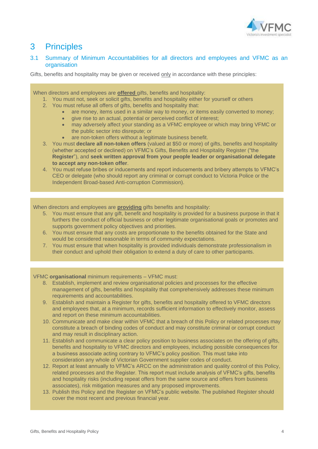

## <span id="page-3-0"></span>3 Principles

3.1 Summary of Minimum Accountabilities for all directors and employees and VFMC as an organisation

Gifts, benefits and hospitality may be given or received only in accordance with these principles:

#### When directors and employees are **offered** gifts, benefits and hospitality:

- 1. You must not, seek or solicit gifts, benefits and hospitality either for yourself or others
- 2. You must refuse all offers of gifts, benefits and hospitality that:
	- are money, items used in a similar way to money, or items easily converted to money;
	- give rise to an actual, potential or perceived conflict of interest;
	- may adversely affect your standing as a VFMC employee or which may bring VFMC or the public sector into disrepute; or
	- are non-token offers without a legitimate business benefit.
- 3. You must **declare all non-token offers** (valued at \$50 or more) of gifts, benefits and hospitality (whether accepted or declined) on VFMC's Gifts, Benefits and Hospitality Register ("the **Register**"), and **seek written approval from your people leader or organisational delegate to accept any non-token offer**.
- 4. You must refuse bribes or inducements and report inducements and bribery attempts to VFMC's CEO or delegate (who should report any criminal or corrupt conduct to Victoria Police or the Independent Broad-based Anti-corruption Commission).

When directors and employees are **providing** gifts benefits and hospitality:

- 5. You must ensure that any gift, benefit and hospitality is provided for a business purpose in that it furthers the conduct of official business or other legitimate organisational goals or promotes and supports government policy objectives and priorities.
- 6. You must ensure that any costs are proportionate to the benefits obtained for the State and would be considered reasonable in terms of community expectations.
- 7. You must ensure that when hospitality is provided individuals demonstrate professionalism in their conduct and uphold their obligation to extend a duty of care to other participants.

#### VFMC **organisational** minimum requirements – VFMC must:

- 8. Establish, implement and review organisational policies and processes for the effective management of gifts, benefits and hospitality that comprehensively addresses these minimum requirements and accountabilities.
- 9. Establish and maintain a Register for gifts, benefits and hospitality offered to VFMC directors and employees that, at a minimum, records sufficient information to effectively monitor, assess and report on these minimum accountabilities.
- 10. Communicate and make clear within VFMC that a breach of this Policy or related processes may constitute a breach of binding codes of conduct and may constitute criminal or corrupt conduct and may result in disciplinary action.
- 11. Establish and communicate a clear policy position to business associates on the offering of gifts, benefits and hospitality to VFMC directors and employees, including possible consequences for a business associate acting contrary to VFMC's policy position. This must take into consideration any whole of Victorian Government supplier codes of conduct.
- 12. Report at least annually to VFMC's ARCC on the administration and quality control of this Policy, related processes and the Register. This report must include analysis of VFMC's gifts, benefits and hospitality risks (including repeat offers from the same source and offers from business associates), risk mitigation measures and any proposed improvements.
- 13. Publish this Policy and the Register on VFMC's public website. The published Register should cover the most recent and previous financial year.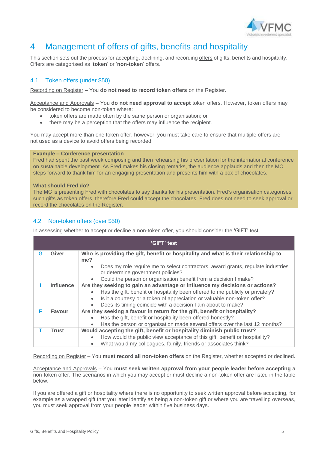

## <span id="page-4-0"></span>4 Management of offers of gifts, benefits and hospitality

This section sets out the process for accepting, declining, and recording offers of gifts, benefits and hospitality. Offers are categorised as '**token**' or '**non-token**' offers.

### 4.1 Token offers (under \$50)

Recording on Register – You **do not need to record token offers** on the Register.

Acceptance and Approvals – You **do not need approval to accept** token offers. However, token offers may be considered to become non-token where:

- token offers are made often by the same person or organisation; or
- there may be a perception that the offers may influence the recipient.

You may accept more than one token offer, however, you must take care to ensure that multiple offers are not used as a device to avoid offers being recorded.

#### **Example – Conference presentation**

Fred had spent the past week composing and then rehearsing his presentation for the international conference on sustainable development. As Fred makes his closing remarks, the audience applauds and then the MC steps forward to thank him for an engaging presentation and presents him with a box of chocolates.

#### **What should Fred do?**

The MC is presenting Fred with chocolates to say thanks for his presentation. Fred's organisation categorises such gifts as token offers, therefore Fred could accept the chocolates. Fred does not need to seek approval or record the chocolates on the Register.

### 4.2 Non-token offers (over \$50)

In assessing whether to accept or decline a non-token offer, you should consider the 'GIFT' test.

| 'GIFT' test |                  |                                                                                               |  |  |
|-------------|------------------|-----------------------------------------------------------------------------------------------|--|--|
| G           | Giver            | Who is providing the gift, benefit or hospitality and what is their relationship to           |  |  |
|             |                  | me?                                                                                           |  |  |
|             |                  | Does my role require me to select contractors, award grants, regulate industries<br>$\bullet$ |  |  |
|             |                  | or determine government policies?                                                             |  |  |
|             |                  | Could the person or organisation benefit from a decision I make?<br>$\bullet$                 |  |  |
|             | <b>Influence</b> | Are they seeking to gain an advantage or influence my decisions or actions?                   |  |  |
|             |                  | Has the gift, benefit or hospitality been offered to me publicly or privately?                |  |  |
|             |                  | Is it a courtesy or a token of appreciation or valuable non-token offer?<br>$\bullet$         |  |  |
|             |                  | Does its timing coincide with a decision I am about to make?                                  |  |  |
| F           | Favour           | Are they seeking a favour in return for the gift, benefit or hospitality?                     |  |  |
|             |                  | Has the gift, benefit or hospitality been offered honestly?<br>$\bullet$                      |  |  |
|             |                  | Has the person or organisation made several offers over the last 12 months?                   |  |  |
|             | <b>Trust</b>     | Would accepting the gift, benefit or hospitality diminish public trust?                       |  |  |
|             |                  | How would the public view acceptance of this gift, benefit or hospitality?<br>$\bullet$       |  |  |
|             |                  | What would my colleagues, family, friends or associates think?                                |  |  |

Recording on Register – You **must record all non-token offers** on the Register, whether accepted or declined.

Acceptance and Approvals – You **must seek written approval from your people leader before accepting** a non-token offer. The scenarios in which you may accept or must decline a non-token offer are listed in the table below.

If you are offered a gift or hospitality where there is no opportunity to seek written approval before accepting, for example as a wrapped gift that you later identify as being a non-token gift or where you are travelling overseas, you must seek approval from your people leader within five business days.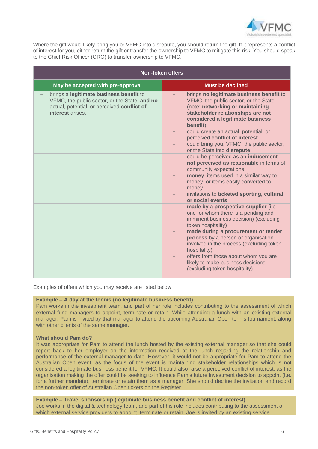

Where the gift would likely bring you or VFMC into disrepute, you should return the gift. If it represents a conflict of interest for you, either return the gift or transfer the ownership to VFMC to mitigate this risk. You should speak to the Chief Risk Officer (CRO) to transfer ownership to VFMC.

| <b>Non-token offers</b>                                                                                                                                    |                                                                                                                                                                                                            |  |
|------------------------------------------------------------------------------------------------------------------------------------------------------------|------------------------------------------------------------------------------------------------------------------------------------------------------------------------------------------------------------|--|
| May be accepted with pre-approval                                                                                                                          | <b>Must be declined</b>                                                                                                                                                                                    |  |
| brings a legitimate business benefit to<br>VFMC, the public sector, or the State, and no<br>actual, potential, or perceived conflict of<br>interest arises | brings no legitimate business benefit to<br>VFMC, the public sector, or the State<br>(note: networking or maintaining<br>stakeholder relationships are not<br>considered a legitimate business<br>benefit) |  |
|                                                                                                                                                            | could create an actual, potential, or<br>perceived conflict of interest                                                                                                                                    |  |
|                                                                                                                                                            | could bring you, VFMC, the public sector,<br>or the State into disrepute                                                                                                                                   |  |
|                                                                                                                                                            | could be perceived as an inducement                                                                                                                                                                        |  |
|                                                                                                                                                            | not perceived as reasonable in terms of<br>community expectations                                                                                                                                          |  |
|                                                                                                                                                            | money, items used in a similar way to<br>money, or items easily converted to<br>money                                                                                                                      |  |
|                                                                                                                                                            | invitations to ticketed sporting, cultural<br>or social events                                                                                                                                             |  |
|                                                                                                                                                            | made by a prospective supplier (i.e.<br>one for whom there is a pending and<br>imminent business decision) (excluding<br>token hospitality)                                                                |  |
|                                                                                                                                                            | made during a procurement or tender<br>process by a person or organisation<br>involved in the process (excluding token<br>hospitality)                                                                     |  |
|                                                                                                                                                            | offers from those about whom you are<br>likely to make business decisions<br>(excluding token hospitality)                                                                                                 |  |

Examples of offers which you may receive are listed below:

#### **Example – A day at the tennis (no legitimate business benefit)**

Pam works in the investment team, and part of her role includes contributing to the assessment of which external fund managers to appoint, terminate or retain. While attending a lunch with an existing external manager, Pam is invited by that manager to attend the upcoming Australian Open tennis tournament, along with other clients of the same manager.

#### **What should Pam do?**

It was appropriate for Pam to attend the lunch hosted by the existing external manager so that she could report back to her employer on the information received at the lunch regarding the relationship and performance of the external manager to date. However, it would not be appropriate for Pam to attend the Australian Open event, as the focus of the event is maintaining stakeholder relationships which is not considered a legitimate business benefit for VFMC. It could also raise a perceived conflict of interest, as the organisation making the offer could be seeking to influence Pam's future investment decision to appoint (i.e. for a further mandate), terminate or retain them as a manager. She should decline the invitation and record the non-token offer of Australian Open tickets on the Register.

## **Example – Travel sponsorship (legitimate business benefit and conflict of interest)**

Joe works in the digital & technology team, and part of his role includes contributing to the assessment of which external service providers to appoint, terminate or retain. Joe is invited by an existing service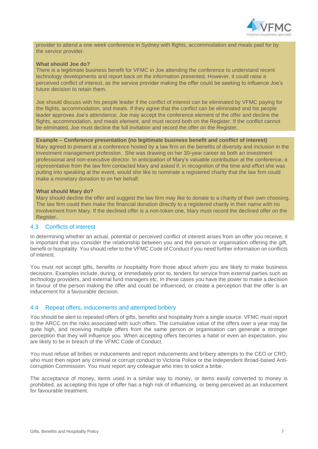

provider to attend a one week conference in Sydney with flights, accommodation and meals paid for by the service provider.

#### **What should Joe do?**

There is a legitimate business benefit for VFMC in Joe attending the conference to understand recent technology developments and report back on the information presented. However, it could raise a perceived conflict of interest, as the service provider making the offer could be seeking to influence Joe's future decision to retain them.

Joe should discuss with his people leader if the conflict of interest can be eliminated by VFMC paying for the flights, accommodation, and meals. If they agree that the conflict can be eliminated and his people leader approves Joe's attendance; Joe may accept the conference element of the offer and decline the flights, accommodation, and meals element, and must record both on the Register. If the conflict cannot be eliminated, Joe must decline the full invitation and record the offer on the Register.

#### **Example – Conference presentation (no legitimate business benefit and conflict of interest)**

Mary agreed to present at a conference hosted by a law firm on the benefits of diversity and inclusion in the investment management profession. She was drawing on her 30-year career as both an investment professional and non-executive director. In anticipation of Mary's valuable contribution at the conference, a representative from the law firm contacted Mary and asked if, in recognition of the time and effort she was putting into speaking at the event, would she like to nominate a registered charity that the law firm could make a monetary donation to on her behalf.

#### **What should Mary do?**

Mary should decline the offer and suggest the law firm may like to donate to a charity of their own choosing. The law firm could then make the financial donation directly to a registered charity in their name with no involvement from Mary. If the declined offer is a non-token one, Mary must record the declined offer on the Register.

#### 4.3 Conflicts of interest

In determining whether an actual, potential or perceived conflict of interest arises from an offer you receive, it is important that you consider the relationship between you and the person or organisation offering the gift, benefit or hospitality. You should refer to the VFMC Code of Conduct if you need further information on conflicts of interest.

You must not accept gifts, benefits or hospitality from those about whom you are likely to make business decisions. Examples include, during, or immediately prior to, tenders for service from external parties such as technology providers, and external fund managers etc. In these cases you have the power to make a decision in favour of the person making the offer and could be influenced, or create a perception that the offer is an inducement for a favourable decision.

#### 4.4 Repeat offers, inducements and attempted bribery

You should be alert to repeated offers of gifts, benefits and hospitality from a single source. VFMC must report to the ARCC on the risks associated with such offers. The cumulative value of the offers over a year may be quite high, and receiving multiple offers from the same person or organisation can generate a stronger perception that they will influence you. When accepting offers becomes a habit or even an expectation, you are likely to be in breach of the VFMC Code of Conduct.

You must refuse all bribes or inducements and report inducements and bribery attempts to the CEO or CRO, who must then report any criminal or corrupt conduct to Victoria Police or the Independent Broad-based Anticorruption Commission. You must report any colleague who tries to solicit a bribe.

The acceptance of money, items used in a similar way to money, or items easily converted to money is prohibited, as accepting this type of offer has a high risk of influencing, or being perceived as an inducement for favourable treatment.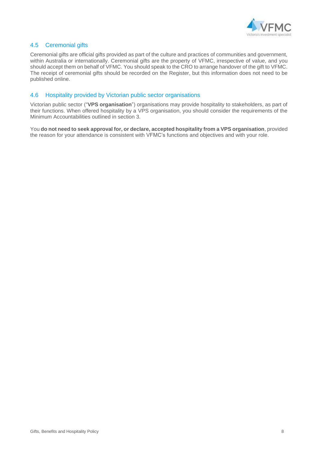

### 4.5 Ceremonial gifts

Ceremonial gifts are official gifts provided as part of the culture and practices of communities and government, within Australia or internationally. Ceremonial gifts are the property of VFMC, irrespective of value, and you should accept them on behalf of VFMC. You should speak to the CRO to arrange handover of the gift to VFMC. The receipt of ceremonial gifts should be recorded on the Register, but this information does not need to be published online.

### 4.6 Hospitality provided by Victorian public sector organisations

Victorian public sector ("**VPS organisation**") organisations may provide hospitality to stakeholders, as part of their functions. When offered hospitality by a VPS organisation, you should consider the requirements of the Minimum Accountabilities outlined in section 3.

You **do not need to seek approval for, or declare, accepted hospitality from a VPS organisation**, provided the reason for your attendance is consistent with VFMC's functions and objectives and with your role.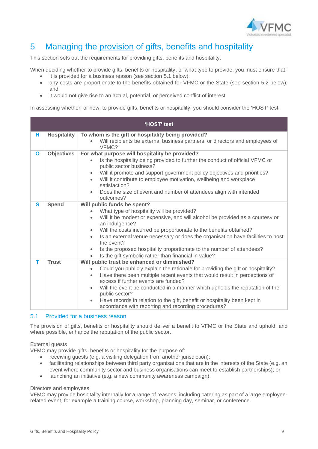

## <span id="page-8-0"></span>5 Managing the provision of gifts, benefits and hospitality

This section sets out the requirements for providing gifts, benefits and hospitality.

When deciding whether to provide gifts, benefits or hospitality, or what type to provide, you must ensure that: it is provided for a business reason (see section 5.1 below);

- any costs are proportionate to the benefits obtained for VFMC or the State (see section 5.2 below); and
- it would not give rise to an actual, potential, or perceived conflict of interest.

In assessing whether, or how, to provide gifts, benefits or hospitality, you should consider the 'HOST' test.

| 'HOST' test |                    |                                                                                                                                                                                                                                                                                                                                                                                                                                                                                                                      |  |  |
|-------------|--------------------|----------------------------------------------------------------------------------------------------------------------------------------------------------------------------------------------------------------------------------------------------------------------------------------------------------------------------------------------------------------------------------------------------------------------------------------------------------------------------------------------------------------------|--|--|
| н           | <b>Hospitality</b> | To whom is the gift or hospitality being provided?                                                                                                                                                                                                                                                                                                                                                                                                                                                                   |  |  |
|             |                    | Will recipients be external business partners, or directors and employees of<br>VFMC?                                                                                                                                                                                                                                                                                                                                                                                                                                |  |  |
| Ο           | <b>Objectives</b>  | For what purpose will hospitality be provided?<br>Is the hospitality being provided to further the conduct of official VFMC or<br>public sector business?<br>Will it promote and support government policy objectives and priorities?<br>Will it contribute to employee motivation, wellbeing and workplace<br>$\bullet$<br>satisfaction?<br>Does the size of event and number of attendees align with intended<br>outcomes?                                                                                         |  |  |
| S           | <b>Spend</b>       | Will public funds be spent?<br>What type of hospitality will be provided?<br>Will it be modest or expensive, and will alcohol be provided as a courtesy or<br>an indulgence?<br>Will the costs incurred be proportionate to the benefits obtained?<br>Is an external venue necessary or does the organisation have facilities to host<br>the event?<br>Is the proposed hospitality proportionate to the number of attendees?<br>Is the gift symbolic rather than financial in value?                                 |  |  |
| т           | <b>Trust</b>       | Will public trust be enhanced or diminished?<br>Could you publicly explain the rationale for providing the gift or hospitality?<br>Have there been multiple recent events that would result in perceptions of<br>$\bullet$<br>excess if further events are funded?<br>Will the event be conducted in a manner which upholds the reputation of the<br>$\bullet$<br>public sector?<br>Have records in relation to the gift, benefit or hospitality been kept in<br>accordance with reporting and recording procedures? |  |  |

#### 5.1 Provided for a business reason

The provision of gifts, benefits or hospitality should deliver a benefit to VFMC or the State and uphold, and where possible, enhance the reputation of the public sector.

#### External guests

VFMC may provide gifts, benefits or hospitality for the purpose of:

- receiving guests (e.g. a visiting delegation from another jurisdiction);
- facilitating relationships between third party organisations that are in the interests of the State (e.g. an event where community sector and business organisations can meet to establish partnerships); or
- launching an initiative (e.g. a new community awareness campaign).

#### Directors and employees

VFMC may provide hospitality internally for a range of reasons, including catering as part of a large employeerelated event, for example a training course, workshop, planning day, seminar, or conference.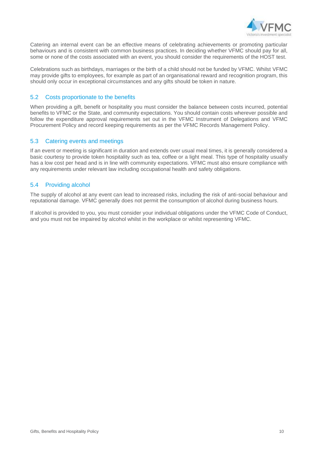

Catering an internal event can be an effective means of celebrating achievements or promoting particular behaviours and is consistent with common business practices. In deciding whether VFMC should pay for all, some or none of the costs associated with an event, you should consider the requirements of the HOST test.

Celebrations such as birthdays, marriages or the birth of a child should not be funded by VFMC. Whilst VFMC may provide gifts to employees, for example as part of an organisational reward and recognition program, this should only occur in exceptional circumstances and any gifts should be token in nature.

### 5.2 Costs proportionate to the benefits

When providing a gift, benefit or hospitality you must consider the balance between costs incurred, potential benefits to VFMC or the State, and community expectations. You should contain costs wherever possible and follow the expenditure approval requirements set out in the VFMC Instrument of Delegations and VFMC Procurement Policy and record keeping requirements as per the VFMC Records Management Policy.

#### 5.3 Catering events and meetings

If an event or meeting is significant in duration and extends over usual meal times, it is generally considered a basic courtesy to provide token hospitality such as tea, coffee or a light meal. This type of hospitality usually has a low cost per head and is in line with community expectations. VFMC must also ensure compliance with any requirements under relevant law including occupational health and safety obligations.

### 5.4 Providing alcohol

The supply of alcohol at any event can lead to increased risks, including the risk of anti-social behaviour and reputational damage. VFMC generally does not permit the consumption of alcohol during business hours.

If alcohol is provided to you, you must consider your individual obligations under the VFMC Code of Conduct, and you must not be impaired by alcohol whilst in the workplace or whilst representing VFMC.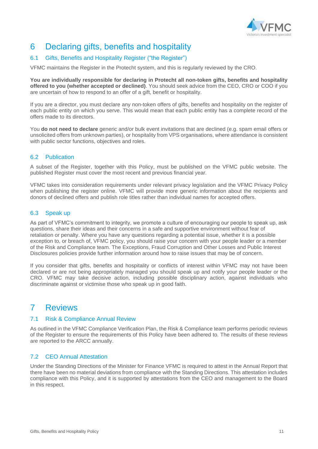

## <span id="page-10-0"></span>6 Declaring gifts, benefits and hospitality

## 6.1 Gifts, Benefits and Hospitality Register ("the Register")

VFMC maintains the Register in the Protecht system, and this is regularly reviewed by the CRO.

**You are individually responsible for declaring in Protecht all non-token gifts, benefits and hospitality offered to you (whether accepted or declined)**. You should seek advice from the CEO, CRO or COO if you are uncertain of how to respond to an offer of a gift, benefit or hospitality.

If you are a director, you must declare any non-token offers of gifts, benefits and hospitality on the register of each public entity on which you serve. This would mean that each public entity has a complete record of the offers made to its directors.

You **do not need to declare** generic and/or bulk event invitations that are declined (e.g. spam email offers or unsolicited offers from unknown parties), or hospitality from VPS organisations, where attendance is consistent with public sector functions, objectives and roles.

### 6.2 Publication

A subset of the Register, together with this Policy, must be published on the VFMC public website. The published Register must cover the most recent and previous financial year.

VFMC takes into consideration requirements under relevant privacy legislation and the VFMC Privacy Policy when publishing the register online. VFMC will provide more generic information about the recipients and donors of declined offers and publish role titles rather than individual names for accepted offers.

### 6.3 Speak up

As part of VFMC's commitment to integrity, we promote a culture of encouraging our people to speak up, ask questions, share their ideas and their concerns in a safe and supportive environment without fear of retaliation or penalty. Where you have any questions regarding a potential issue, whether it is a possible exception to, or breach of, VFMC policy, you should raise your concern with your people leader or a member of the Risk and Compliance team. The Exceptions, Fraud Corruption and Other Losses and Public Interest Disclosures policies provide further information around how to raise issues that may be of concern.

If you consider that gifts, benefits and hospitality or conflicts of interest within VFMC may not have been declared or are not being appropriately managed you should speak up and notify your people leader or the CRO. VFMC may take decisive action, including possible disciplinary action, against individuals who discriminate against or victimise those who speak up in good faith.

## <span id="page-10-1"></span>7 Reviews

#### 7.1 Risk & Compliance Annual Review

As outlined in the VFMC Compliance Verification Plan, the Risk & Compliance team performs periodic reviews of the Register to ensure the requirements of this Policy have been adhered to. The results of these reviews are reported to the ARCC annually.

### 7.2 CEO Annual Attestation

Under the Standing Directions of the Minister for Finance VFMC is required to attest in the Annual Report that there have been no material deviations from compliance with the Standing Directions. This attestation includes compliance with this Policy, and it is supported by attestations from the CEO and management to the Board in this respect.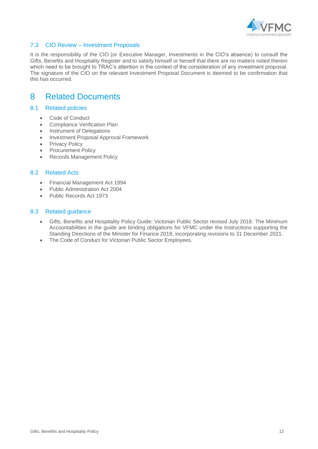

### 7.3 CIO Review – Investment Proposals

It is the responsibility of the CIO (or Executive Manager, Investments in the CIO's absence) to consult the Gifts, Benefits and Hospitality Register and to satisfy himself or herself that there are no matters noted therein which need to be brought to TRAC's attention in the context of the consideration of any investment proposal. The signature of the CIO on the relevant Investment Proposal Document is deemed to be confirmation that this has occurred.

## <span id="page-11-0"></span>8 Related Documents

### 8.1 Related policies

- Code of Conduct
- Compliance Verification Plan
- Instrument of Delegations
- Investment Proposal Approval Framework
- Privacy Policy
- Procurement Policy
- Records Management Policy

### 8.2 Related Acts

- Financial Management Act 1994
- Public Administration Act 2004
- Public Records Act 1973

#### 8.3 Related guidance

- Gifts, Benefits and Hospitality Policy Guide: Victorian Public Sector revised July 2018. The Minimum Accountabilities in the guide are binding obligations for VFMC under the Instructions supporting the Standing Directions of the Minister for Finance 2018, incorporating revisions to 31 December 2021.
- The Code of Conduct for Victorian Public Sector Employees.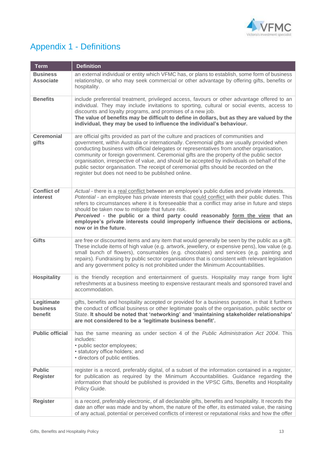

# <span id="page-12-0"></span>Appendix 1 - Definitions

| <b>Term</b>                         | <b>Definition</b>                                                                                                                                                                                                                                                                                                                                                                                                                                                                                                                                                                                                        |
|-------------------------------------|--------------------------------------------------------------------------------------------------------------------------------------------------------------------------------------------------------------------------------------------------------------------------------------------------------------------------------------------------------------------------------------------------------------------------------------------------------------------------------------------------------------------------------------------------------------------------------------------------------------------------|
| <b>Business</b><br><b>Associate</b> | an external individual or entity which VFMC has, or plans to establish, some form of business<br>relationship, or who may seek commercial or other advantage by offering gifts, benefits or<br>hospitality.                                                                                                                                                                                                                                                                                                                                                                                                              |
| <b>Benefits</b>                     | include preferential treatment, privileged access, favours or other advantage offered to an<br>individual. They may include invitations to sporting, cultural or social events, access to<br>discounts and loyalty programs, and promises of a new job.<br>The value of benefits may be difficult to define in dollars, but as they are valued by the<br>individual, they may be used to influence the individual's behaviour.                                                                                                                                                                                           |
| <b>Ceremonial</b><br>gifts          | are official gifts provided as part of the culture and practices of communities and<br>government, within Australia or internationally. Ceremonial gifts are usually provided when<br>conducting business with official delegates or representatives from another organisation,<br>community or foreign government. Ceremonial gifts are the property of the public sector<br>organisation, irrespective of value, and should be accepted by individuals on behalf of the<br>public sector organisation. The receipt of ceremonial gifts should be recorded on the<br>register but does not need to be published online. |
| <b>Conflict of</b><br>interest      | Actual - there is a real conflict between an employee's public duties and private interests.<br>Potential - an employee has private interests that could conflict with their public duties. This<br>refers to circumstances where it is foreseeable that a conflict may arise in future and steps<br>should be taken now to mitigate that future risk.<br>Perceived - the public or a third party could reasonably form the view that an<br>employee's private interests could improperly influence their decisions or actions,<br>now or in the future.                                                                 |
| <b>Gifts</b>                        | are free or discounted items and any item that would generally be seen by the public as a gift.<br>These include items of high value (e.g. artwork, jewellery, or expensive pens), low value (e.g.<br>small bunch of flowers), consumables (e.g. chocolates) and services (e.g. painting and<br>repairs). Fundraising by public sector organisations that is consistent with relevant legislation<br>and any government policy is not prohibited under the Minimum Accountabilities.                                                                                                                                     |
| <b>Hospitality</b>                  | is the friendly reception and entertainment of guests. Hospitality may range from light<br>refreshments at a business meeting to expensive restaurant meals and sponsored travel and<br>accommodation.                                                                                                                                                                                                                                                                                                                                                                                                                   |
| Legitimate<br>business<br>benefit   | gifts, benefits and hospitality accepted or provided for a business purpose, in that it furthers<br>the conduct of official business or other legitimate goals of the organisation, public sector or<br>State. It should be noted that 'networking' and 'maintaining stakeholder relationships'<br>are not considered to be a 'legitimate business benefit'.                                                                                                                                                                                                                                                             |
| <b>Public official</b>              | has the same meaning as under section 4 of the Public Administration Act 2004. This<br>includes:<br>• public sector employees;<br>· statutory office holders; and<br>• directors of public entities.                                                                                                                                                                                                                                                                                                                                                                                                                     |
| <b>Public</b><br><b>Register</b>    | register is a record, preferably digital, of a subset of the information contained in a register,<br>for publication as required by the Minimum Accountabilities. Guidance regarding the<br>information that should be published is provided in the VPSC Gifts, Benefits and Hospitality<br>Policy Guide.                                                                                                                                                                                                                                                                                                                |
| <b>Register</b>                     | is a record, preferably electronic, of all declarable gifts, benefits and hospitality. It records the<br>date an offer was made and by whom, the nature of the offer, its estimated value, the raising<br>of any actual, potential or perceived conflicts of interest or reputational risks and how the offer                                                                                                                                                                                                                                                                                                            |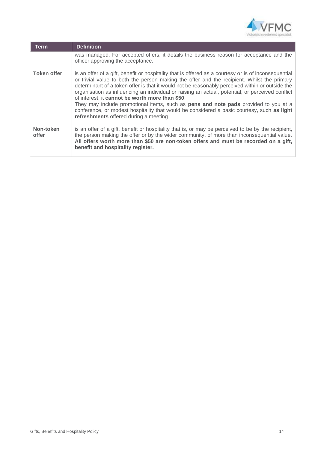

| <b>Term</b>        | <b>Definition</b>                                                                                                                                                                                                                                                                                                                                                                                                                                                                                                                                                                                                                                                                                  |
|--------------------|----------------------------------------------------------------------------------------------------------------------------------------------------------------------------------------------------------------------------------------------------------------------------------------------------------------------------------------------------------------------------------------------------------------------------------------------------------------------------------------------------------------------------------------------------------------------------------------------------------------------------------------------------------------------------------------------------|
|                    | was managed. For accepted offers, it details the business reason for acceptance and the<br>officer approving the acceptance.                                                                                                                                                                                                                                                                                                                                                                                                                                                                                                                                                                       |
| <b>Token offer</b> | is an offer of a gift, benefit or hospitality that is offered as a courtesy or is of inconsequential<br>or trivial value to both the person making the offer and the recipient. Whilst the primary<br>determinant of a token offer is that it would not be reasonably perceived within or outside the<br>organisation as influencing an individual or raising an actual, potential, or perceived conflict<br>of interest, it cannot be worth more than \$50.<br>They may include promotional items, such as <b>pens and note pads</b> provided to you at a<br>conference, or modest hospitality that would be considered a basic courtesy, such as light<br>refreshments offered during a meeting. |
| Non-token<br>offer | is an offer of a gift, benefit or hospitality that is, or may be perceived to be by the recipient,<br>the person making the offer or by the wider community, of more than inconsequential value.<br>All offers worth more than \$50 are non-token offers and must be recorded on a gift,<br>benefit and hospitality register.                                                                                                                                                                                                                                                                                                                                                                      |